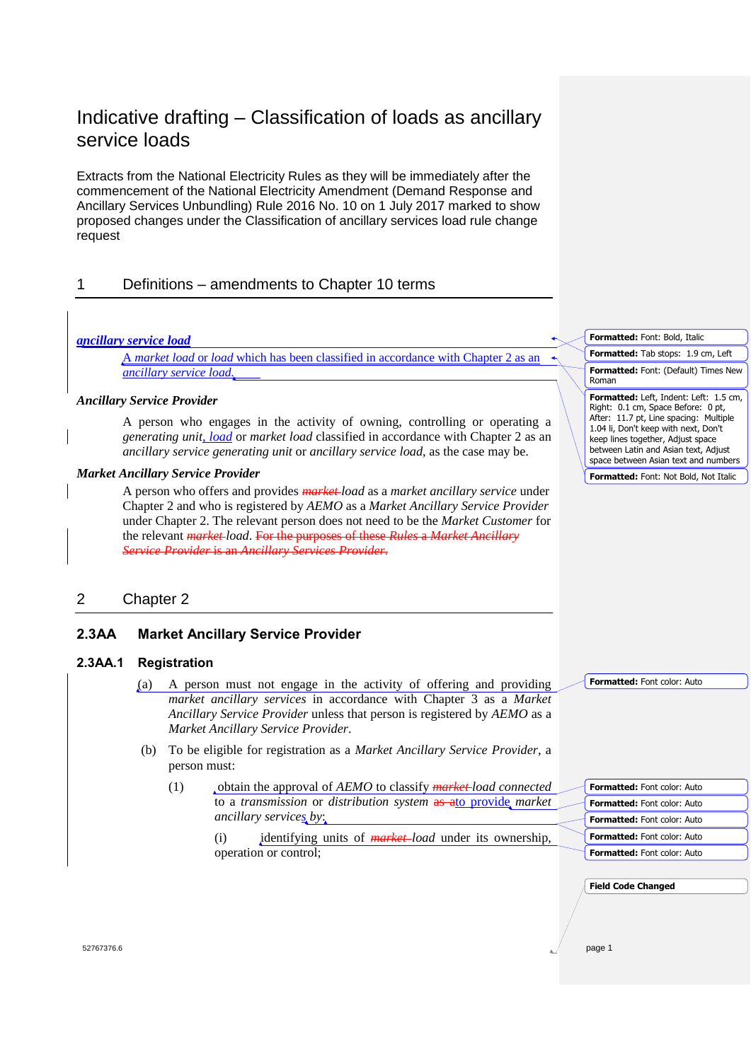# Indicative drafting – Classification of loads as ancillary service loads

Extracts from the National Electricity Rules as they will be immediately after the commencement of the National Electricity Amendment (Demand Response and Ancillary Services Unbundling) Rule 2016 No. 10 on 1 July 2017 marked to show proposed changes under the Classification of ancillary services load rule change request

# 1 Definitions – amendments to Chapter 10 terms

### *ancillary service load*

A *market load* or *load* which has been classified in accordance with Chapter 2 as an *ancillary service load*.

### *Ancillary Service Provider*

A person who engages in the activity of owning, controlling or operating a *generating unit*, *load* or *market load* classified in accordance with Chapter 2 as an *ancillary service generating unit* or *ancillary service load*, as the case may be.

### *Market Ancillary Service Provider*

A person who offers and provides *market load* as a *market ancillary service* under Chapter 2 and who is registered by *AEMO* as a *Market Ancillary Service Provider* under Chapter 2. The relevant person does not need to be the *Market Customer* for the relevant *market load*. For the purposes of these *Rules* a *Market Ancillary Service Provider* is an *Ancillary Services Provider*.

# 2 Chapter 2

## **2.3AA Market Ancillary Service Provider**

## **2.3AA.1 Registration**

- (a) A person must not engage in the activity of offering and providing *market ancillary services* in accordance with Chapter 3 as a *Market Ancillary Service Provider* unless that person is registered by *AEMO* as a *Market Ancillary Service Provider*.
- (b) To be eligible for registration as a *Market Ancillary Service Provider*, a person must:
	- (1) obtain the approval of *AEMO* to classify *market load connected* to a *transmission* or *distribution system* as ato provide *market ancillary services by*:

identifying units of *market-load* under its ownership. operation or control;

| <b>Formatted: Font: Bold, Italic</b>                                                                                                                                                                                                                                                |
|-------------------------------------------------------------------------------------------------------------------------------------------------------------------------------------------------------------------------------------------------------------------------------------|
| <b>Formatted:</b> Tab stops: 1.9 cm, Left                                                                                                                                                                                                                                           |
| <b>Formatted:</b> Font: (Default) Times New<br>Roman                                                                                                                                                                                                                                |
| Formatted: Left, Indent: Left: 1.5 cm,<br>Right: 0.1 cm, Space Before: 0 pt,<br>After: 11.7 pt, Line spacing: Multiple<br>1.04 li, Don't keep with next, Don't<br>keep lines together, Adjust space<br>between Latin and Asian text, Adjust<br>space between Asian text and numbers |
| <b>Formatted:</b> Font: Not Bold, Not Italic                                                                                                                                                                                                                                        |

**Formatted:** Font color: Auto

| Formatted: Font color: Auto        |
|------------------------------------|
| <b>Formatted:</b> Font color: Auto |
| <b>Formatted: Font color: Auto</b> |
| Formatted: Font color: Auto        |
| Formatted: Font color: Auto        |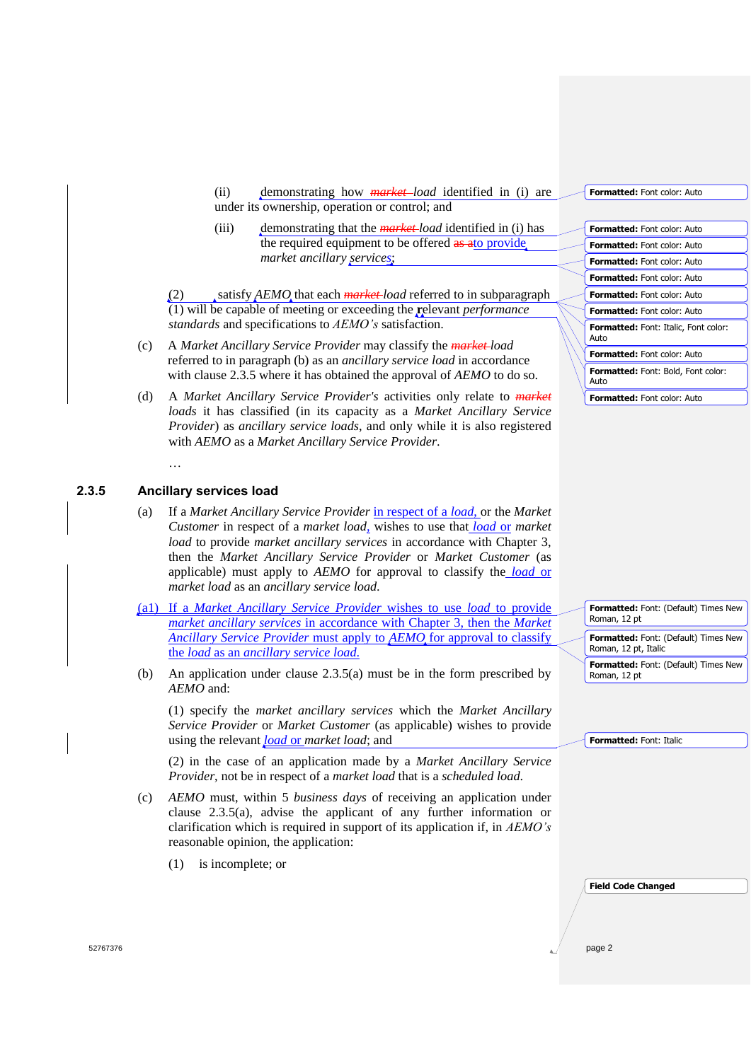(ii) demonstrating how *market load* identified in (i) are under its ownership, operation or control; and

(iii) demonstrating that the *market load* identified in (i) has the required equipment to be offered as ato provide. *market ancillary services*;

(2) satisfy *AEMO* that each *market load* referred to in subparagraph (1) will be capable of meeting or exceeding the **r**elevant *performance standards* and specifications to *AEMO's* satisfaction.

- (c) A *Market Ancillary Service Provider* may classify the *market load* referred to in paragraph (b) as an *ancillary service load* in accordance with clause 2.3.5 where it has obtained the approval of *AEMO* to do so.
- (d) A *Market Ancillary Service Provider's* activities only relate to *market loads* it has classified (in its capacity as a *Market Ancillary Service Provider*) as *ancillary service loads*, and only while it is also registered with *AEMO* as a *Market Ancillary Service Provider*.

## **2.3.5 Ancillary services load**

…

- (a) If a *Market Ancillary Service Provider* in respect of a *load*, or the *Market Customer* in respect of a *market load,* wishes to use that *load* or *market load* to provide *market ancillary services* in accordance with Chapter 3, then the *Market Ancillary Service Provider* or *Market Customer* (as applicable) must apply to *AEMO* for approval to classify the *load* or *market load* as an *ancillary service load*.
- (a1) If a *Market Ancillary Service Provider* wishes to use *load* to provide *market ancillary services* in accordance with Chapter 3, then the *Market Ancillary Service Provider* must apply to *AEMO* for approval to classify the *load* as an *ancillary service load*.
- (b) An application under clause 2.3.5(a) must be in the form prescribed by *AEMO* and:

(1) specify the *market ancillary services* which the *Market Ancillary Service Provider* or *Market Customer* (as applicable) wishes to provide using the relevant *load* or *market load*; and

(2) in the case of an application made by a *Market Ancillary Service Provider*, not be in respect of a *market load* that is a *scheduled load*.

- (c) *AEMO* must, within 5 *business days* of receiving an application under clause 2.3.5(a), advise the applicant of any further information or clarification which is required in support of its application if, in *AEMO's* reasonable opinion, the application:
	- (1) is incomplete; or

| <b>Formatted:</b> Font color: Auto |
|------------------------------------|
|------------------------------------|

| <b>Formatted:</b> Font color: Auto                  |
|-----------------------------------------------------|
| <b>Formatted: Font color: Auto</b>                  |
| <b>Formatted: Font color: Auto</b>                  |
| <b>Formatted: Font color: Auto</b>                  |
| <b>Formatted:</b> Font color: Auto                  |
| <b>Formatted: Font color: Auto</b>                  |
| <b>Formatted:</b> Font: Italic, Font color:<br>Auto |
| <b>Formatted:</b> Font color: Auto                  |
| <b>Formatted:</b> Font: Bold, Font color:<br>Auto   |
|                                                     |

| Formatted: Font: (Default) Times New<br>Roman, 12 pt         |
|--------------------------------------------------------------|
| Formatted: Font: (Default) Times New<br>Roman, 12 pt, Italic |
| Formatted: Font: (Default) Times New<br>Roman, 12 pt         |

**Formatted:** Font: Italic

| <b>Field Code Changed</b> |  |
|---------------------------|--|
|---------------------------|--|

52767376 page 2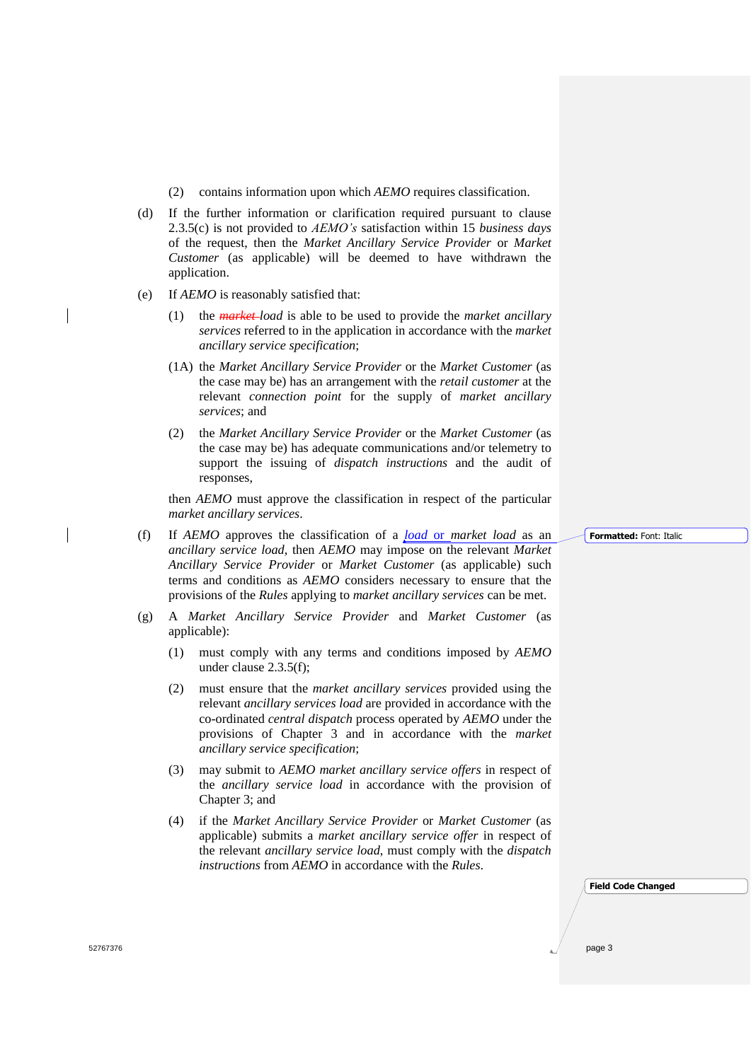- (2) contains information upon which *AEMO* requires classification.
- (d) If the further information or clarification required pursuant to clause 2.3.5(c) is not provided to *AEMO's* satisfaction within 15 *business days* of the request, then the *Market Ancillary Service Provider* or *Market Customer* (as applicable) will be deemed to have withdrawn the application.
- (e) If *AEMO* is reasonably satisfied that:
	- (1) the *market load* is able to be used to provide the *market ancillary services* referred to in the application in accordance with the *market ancillary service specification*;
	- (1A) the *Market Ancillary Service Provider* or the *Market Customer* (as the case may be) has an arrangement with the *retail customer* at the relevant *connection point* for the supply of *market ancillary services*; and
	- (2) the *Market Ancillary Service Provider* or the *Market Customer* (as the case may be) has adequate communications and/or telemetry to support the issuing of *dispatch instructions* and the audit of responses,

then *AEMO* must approve the classification in respect of the particular *market ancillary services*.

(f) If *AEMO* approves the classification of a *load* or *market load* as an *ancillary service load*, then *AEMO* may impose on the relevant *Market Ancillary Service Provider* or *Market Customer* (as applicable) such terms and conditions as *AEMO* considers necessary to ensure that the provisions of the *Rules* applying to *market ancillary services* can be met.

- (g) A *Market Ancillary Service Provider* and *Market Customer* (as applicable):
	- (1) must comply with any terms and conditions imposed by *AEMO* under clause 2.3.5(f);
	- (2) must ensure that the *market ancillary services* provided using the relevant *ancillary services load* are provided in accordance with the co-ordinated *central dispatch* process operated by *AEMO* under the provisions of Chapter 3 and in accordance with the *market ancillary service specification*;
	- (3) may submit to *AEMO market ancillary service offers* in respect of the *ancillary service load* in accordance with the provision of Chapter 3; and
	- (4) if the *Market Ancillary Service Provider* or *Market Customer* (as applicable) submits a *market ancillary service offer* in respect of the relevant *ancillary service load*, must comply with the *dispatch instructions* from *AEMO* in accordance with the *Rules*.

**Formatted:** Font: Italic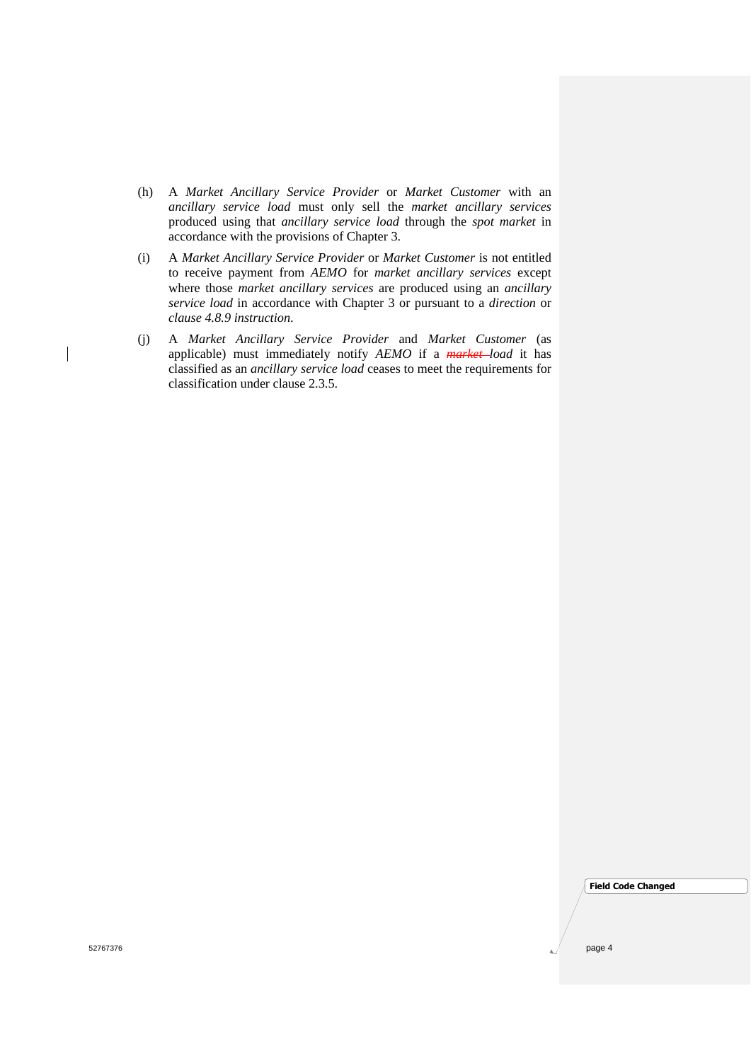- (h) A *Market Ancillary Service Provider* or *Market Customer* with an *ancillary service load* must only sell the *market ancillary services* produced using that *ancillary service load* through the *spot market* in accordance with the provisions of Chapter 3.
- (i) A *Market Ancillary Service Provider* or *Market Customer* is not entitled to receive payment from *AEMO* for *market ancillary services* except where those *market ancillary services* are produced using an *ancillary service load* in accordance with Chapter 3 or pursuant to a *direction* or *clause 4.8.9 instruction*.
- (j) A *Market Ancillary Service Provider* and *Market Customer* (as applicable) must immediately notify *AEMO* if a *market load* it has classified as an *ancillary service load* ceases to meet the requirements for classification under clause 2.3.5.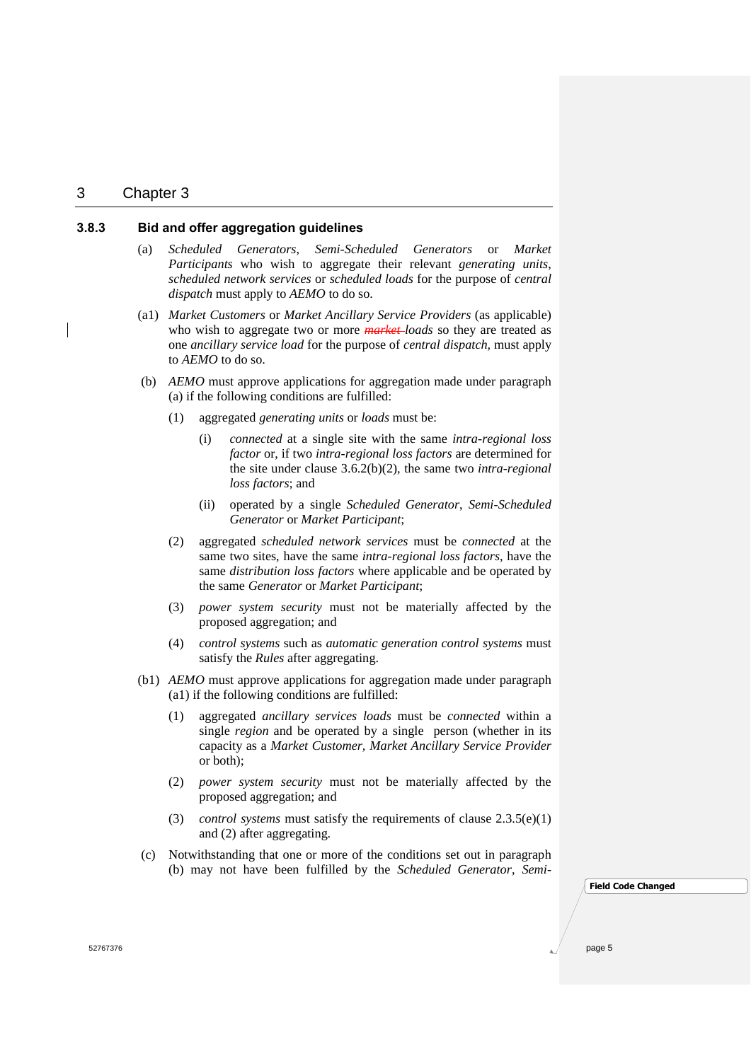## 3 Chapter 3

## **3.8.3 Bid and offer aggregation guidelines**

- (a) *Scheduled Generators*, *Semi-Scheduled Generators* or *Market Participants* who wish to aggregate their relevant *generating units*, *scheduled network services* or *scheduled loads* for the purpose of *central dispatch* must apply to *AEMO* to do so.
- (a1) *Market Customers* or *Market Ancillary Service Providers* (as applicable) who wish to aggregate two or more *market loads* so they are treated as one *ancillary service load* for the purpose of *central dispatch,* must apply to *AEMO* to do so.
- (b) *AEMO* must approve applications for aggregation made under paragraph (a) if the following conditions are fulfilled:
	- (1) aggregated *generating units* or *loads* must be:
		- (i) *connected* at a single site with the same *intra-regional loss factor* or, if two *intra-regional loss factors* are determined for the site under clause 3.6.2(b)(2), the same two *intra-regional loss factors*; and
		- (ii) operated by a single *Scheduled Generator*, *Semi-Scheduled Generator* or *Market Participant*;
	- (2) aggregated *scheduled network services* must be *connected* at the same two sites, have the same *intra-regional loss factors*, have the same *distribution loss factors* where applicable and be operated by the same *Generator* or *Market Participant*;
	- (3) *power system security* must not be materially affected by the proposed aggregation; and
	- (4) *control systems* such as *automatic generation control systems* must satisfy the *Rules* after aggregating.
- (b1) *AEMO* must approve applications for aggregation made under paragraph (a1) if the following conditions are fulfilled:
	- (1) aggregated *ancillary services loads* must be *connected* within a single *region* and be operated by a single person (whether in its capacity as a *Market Customer, Market Ancillary Service Provider* or both);
	- (2) *power system security* must not be materially affected by the proposed aggregation; and
	- (3) *control systems* must satisfy the requirements of clause 2.3.5(e)(1) and (2) after aggregating.
- (c) Notwithstanding that one or more of the conditions set out in paragraph (b) may not have been fulfilled by the *Scheduled Generator*, *Semi-*